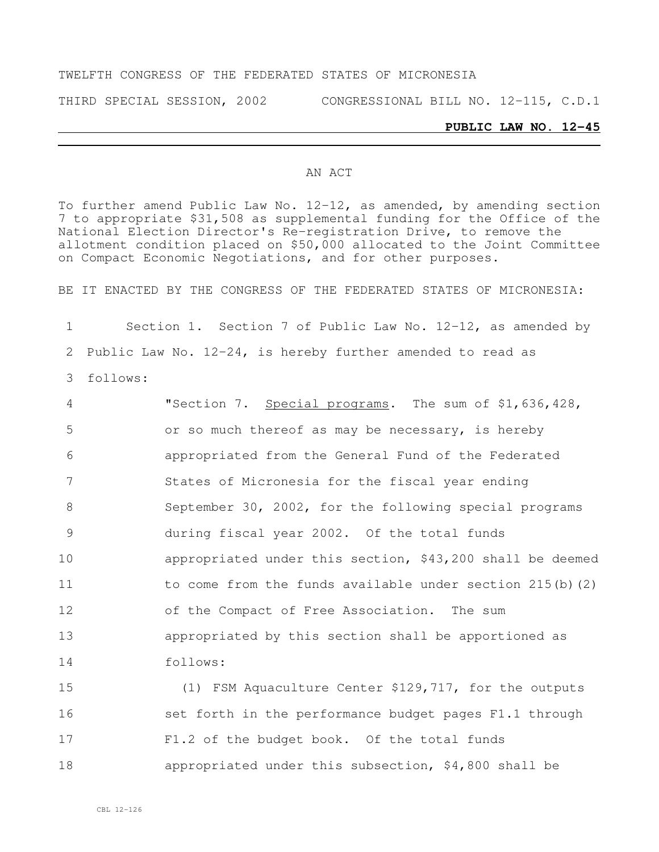### TWELFTH CONGRESS OF THE FEDERATED STATES OF MICRONESIA

THIRD SPECIAL SESSION, 2002 CONGRESSIONAL BILL NO. 12-115, C.D.1

#### **PUBLIC LAW NO. 12-45**

### AN ACT

To further amend Public Law No. 12-12, as amended, by amending section 7 to appropriate \$31,508 as supplemental funding for the Office of the National Election Director's Re-registration Drive, to remove the allotment condition placed on \$50,000 allocated to the Joint Committee on Compact Economic Negotiations, and for other purposes.

BE IT ENACTED BY THE CONGRESS OF THE FEDERATED STATES OF MICRONESIA:

1 Section 1. Section 7 of Public Law No. 12-12, as amended by 2 Public Law No. 12-24, is hereby further amended to read as 3 follows:

 "Section 7. Special programs. The sum of \$1,636,428, or so much thereof as may be necessary, is hereby appropriated from the General Fund of the Federated States of Micronesia for the fiscal year ending 8 September 30, 2002, for the following special programs during fiscal year 2002. Of the total funds appropriated under this section, \$43,200 shall be deemed 11 to come from the funds available under section 215(b)(2) of the Compact of Free Association. The sum appropriated by this section shall be apportioned as 14 follows:

 (1) FSM Aquaculture Center \$129,717, for the outputs 16 set forth in the performance budget pages F1.1 through F1.2 of the budget book. Of the total funds appropriated under this subsection, \$4,800 shall be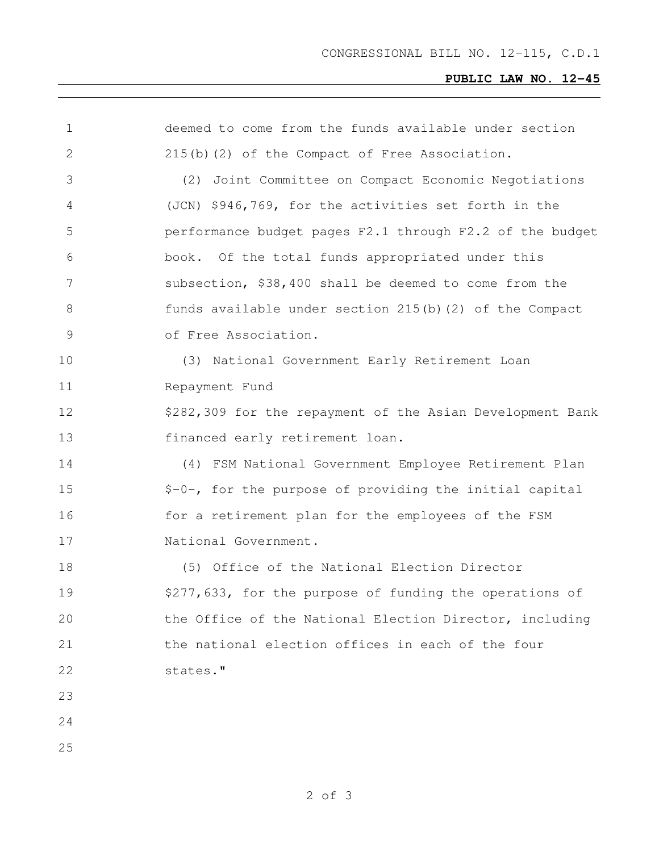# **PUBLIC LAW NO. 12-45**

| 1             | deemed to come from the funds available under section     |
|---------------|-----------------------------------------------------------|
| $\mathbf{2}$  | 215(b)(2) of the Compact of Free Association.             |
| 3             | Joint Committee on Compact Economic Negotiations<br>(2)   |
| 4             | (JCN) \$946,769, for the activities set forth in the      |
| 5             | performance budget pages F2.1 through F2.2 of the budget  |
| 6             | book. Of the total funds appropriated under this          |
| 7             | subsection, \$38,400 shall be deemed to come from the     |
| 8             | funds available under section 215(b) (2) of the Compact   |
| $\mathcal{G}$ | of Free Association.                                      |
| 10            | (3) National Government Early Retirement Loan             |
| 11            | Repayment Fund                                            |
| 12            | \$282,309 for the repayment of the Asian Development Bank |
| 13            | financed early retirement loan.                           |
| 14            | (4) FSM National Government Employee Retirement Plan      |
| 15            | \$-0-, for the purpose of providing the initial capital   |
| 16            | for a retirement plan for the employees of the FSM        |
| 17            | National Government.                                      |
| 18            | (5) Office of the National Election Director              |
| 19            | \$277,633, for the purpose of funding the operations of   |
| 20            | the Office of the National Election Director, including   |
| 21            | the national election offices in each of the four         |
| 22            | states."                                                  |
| 23            |                                                           |
| 24            |                                                           |
| 25            |                                                           |
|               |                                                           |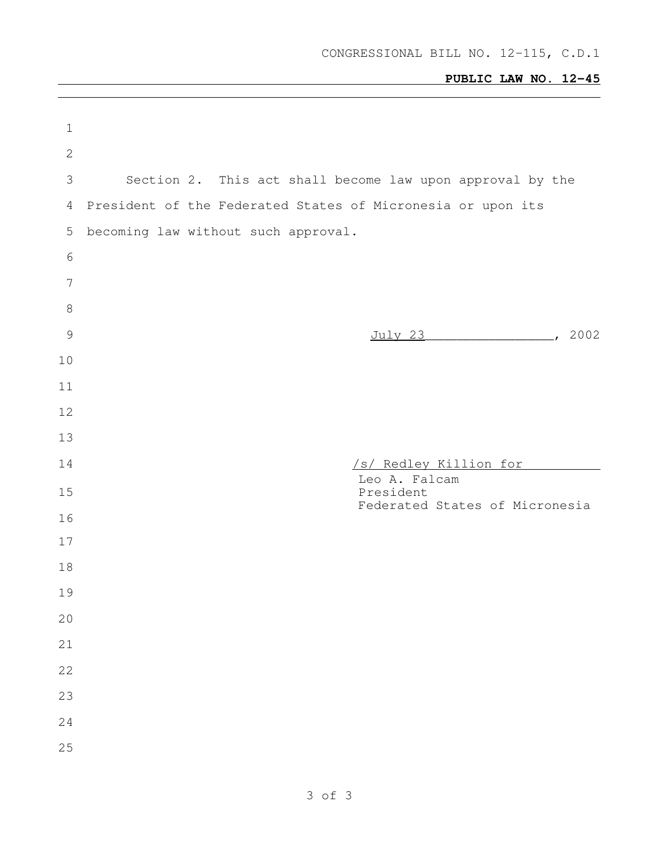# **PUBLIC LAW NO. 12-45**

| $\mathbf 1$     |                                                             |
|-----------------|-------------------------------------------------------------|
| $\mathbf{2}$    |                                                             |
| $\mathfrak{Z}$  | Section 2. This act shall become law upon approval by the   |
| 4               | President of the Federated States of Micronesia or upon its |
| $\mathsf S$     | becoming law without such approval.                         |
| $\sqrt{6}$      |                                                             |
| $7\phantom{.0}$ |                                                             |
| $\,8\,$         |                                                             |
| $\mathcal{G}$   | July 23 (2002)                                              |
| 10              |                                                             |
| 11              |                                                             |
| 12              |                                                             |
| 13              |                                                             |
|                 |                                                             |
| 14              | /s/ Redley Killion for                                      |
| 15              | Leo A. Falcam<br>President                                  |
| 16              | Federated States of Micronesia                              |
| 17              |                                                             |
| 18              |                                                             |
| 19              |                                                             |
| 20              |                                                             |
| 21              |                                                             |
| 22              |                                                             |
| 23              |                                                             |
| 24              |                                                             |